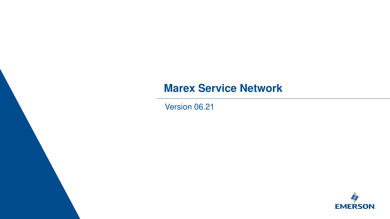Emerson Confidential <sup>1</sup>



#### **Marex Service Network**

Version 06.21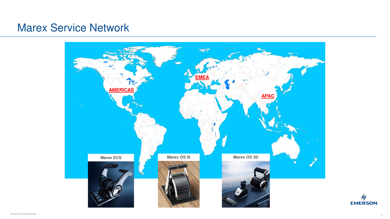



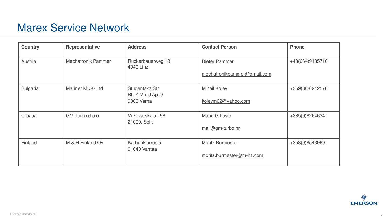<span id="page-2-0"></span>

| <b>Country</b>  | <b>Representative</b>     | <b>Address</b>                                     | <b>Contact Person</b>                                | <b>Phone</b> |
|-----------------|---------------------------|----------------------------------------------------|------------------------------------------------------|--------------|
| Austria         | <b>Mechatronik Pammer</b> | Ruckerbauerweg 18<br>4040 Linz                     | Dieter Pammer<br>mechatronikpammer@gmail.com         | $+43(66)$    |
| <b>Bulgaria</b> | Mariner MKK-Ltd.          | Studentska Str.<br>BL. 4 Vh. J Ap. 9<br>9000 Varna | <b>Mihail Kolev</b><br>kolevm62@yahoo.com            | $+359(8$     |
| Croatia         | GM Turbo d.o.o.           | Vukovarska ul. 58,<br>21000, Split                 | <b>Marin Grijusic</b><br>mail@gm-turbo.hr            | $+385(9$     |
| Finland         | M & H Finland Oy          | Karhunkierros 5<br>01640 Vantaa                    | <b>Moritz Burmester</b><br>moritz.burmester@m-h1.com | $+358(9)$    |



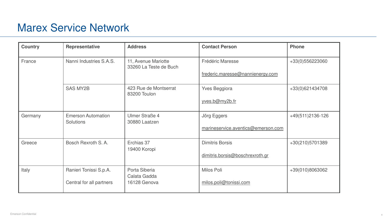| <b>Country</b> | <b>Representative</b>                         | <b>Address</b>                                | <b>Contact Person</b>              | <b>Phone</b> |
|----------------|-----------------------------------------------|-----------------------------------------------|------------------------------------|--------------|
| France         | Nanni Industries S.A.S.                       | 11, Avenue Mariotte<br>33260 La Teste de Buch | <b>Frédéric Maresse</b>            | $+33(0)$     |
|                |                                               |                                               | frederic.maresse@nannienergy.com   |              |
|                | <b>SAS MY2B</b>                               | 423 Rue de Montserrat<br>83200 Toulon         | <b>Yves Beggiora</b>               | $+33(0)$     |
|                |                                               |                                               | yves.b@my2b.fr                     |              |
| Germany        | <b>Emerson Automation</b><br><b>Solutions</b> | <b>Ulmer Straße 4</b><br>30880 Laatzen        | Jörg Eggers                        | $+49(51$     |
|                |                                               |                                               | marineservice.aventics@emerson.com |              |
| Greece         | Bosch Rexroth S.A.                            | Erchias 37<br>19400 Koropi                    | <b>Dimitris Borsis</b>             | $+30(21)$    |
|                |                                               |                                               | dimitris.borsis@boschrexroth.gr    |              |
| Italy          | Ranieri Tonissi S.p.A.                        | Porta Siberia<br>Calata Gadda                 | Milos Poli                         | $+39(01$     |
|                | Central for all partners                      | 16128 Genova                                  | milos.poli@tonissi.com             |              |
|                |                                               |                                               |                                    |              |

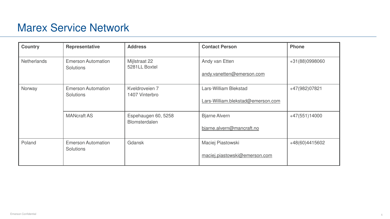| <b>Country</b>     | <b>Representative</b>                         | <b>Address</b>                       | <b>Contact Person</b>                                      | <b>Phone</b> |
|--------------------|-----------------------------------------------|--------------------------------------|------------------------------------------------------------|--------------|
| <b>Netherlands</b> | <b>Emerson Automation</b><br><b>Solutions</b> | Mijlstraat 22<br>5281LL Boxtel       | Andy van Etten<br>andy.vanetten@emerson.com                | $+31(88)$    |
| Norway             | <b>Emerson Automation</b><br><b>Solutions</b> | Kveldroveien 7<br>1407 Vinterbro     | Lars-William Blekstad<br>Lars-William.blekstad@emerson.com | $+47(98$     |
|                    | <b>MANcraft AS</b>                            | Espehaugen 60, 5258<br>Blomsterdalen | <b>Bjarne Alvern</b><br>bjarne.alvern@mancraft.no          | $+47(55$     |
| Poland             | <b>Emerson Automation</b><br><b>Solutions</b> | <b>Gdansk</b>                        | Maciej Piastowski<br>maciej.piastowski@emerson.com         | $+48(60$     |

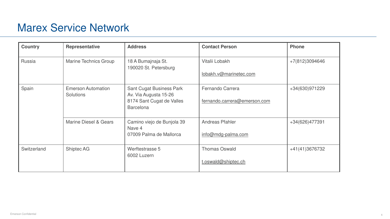| <b>Country</b> | <b>Representative</b>                         | <b>Address</b>                                                                                            | <b>Contact Person</b>                            | <b>Phone</b> |
|----------------|-----------------------------------------------|-----------------------------------------------------------------------------------------------------------|--------------------------------------------------|--------------|
| Russia         | <b>Marine Technics Group</b>                  | 18 A Bumajnaja St.<br>190020 St. Petersburg                                                               | Vitalii Lobakh<br>lobakh.v@marinetec.com         | $+7(812)$    |
| Spain          | <b>Emerson Automation</b><br><b>Solutions</b> | <b>Sant Cugat Business Park</b><br>Av. Via Augusta 15-26<br>8174 Sant Cugat de Valles<br><b>Barcelona</b> | Fernando Carrera<br>fernando.carrera@emerson.com | $+34(63)$    |
|                | <b>Marine Diesel &amp; Gears</b>              | Camino viejo de Bunjola 39<br>Nave 4<br>07009 Palma de Mallorca                                           | <b>Andreas Pfahler</b><br>info@mdg-palma.com     | $+34(62)$    |
| Switzerland    | <b>Shiptec AG</b>                             | Werftestrasse 5<br>6002 Luzern                                                                            | <b>Thomas Oswald</b><br>t.oswald@shiptec.ch      | $+41(41$     |

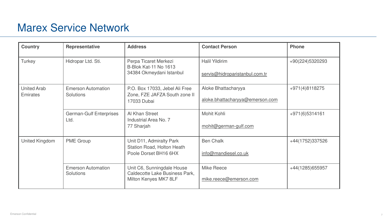| <b>Country</b>                        | <b>Representative</b>                  | <b>Address</b>                                                                         | <b>Contact Person</b>                                   | <b>Phone</b>    |
|---------------------------------------|----------------------------------------|----------------------------------------------------------------------------------------|---------------------------------------------------------|-----------------|
| <b>Turkey</b>                         | Hidropar Ltd. Sti.                     | Perpa Ticaret Merkezi<br><b>B-Blok Kat-11 No 1613</b><br>34384 Okmeydani Istanbul      | <b>Halil Yildirim</b><br>servis@hidroparistanbul.com.tr | +90(224)5320293 |
| <b>United Arab</b><br><b>Emirates</b> | <b>Emerson Automation</b><br>Solutions | P.O. Box 17033, Jebel Ali Free<br>Zone, FZE JAFZA South zone II<br>17033 Dubai         | Aloke Bhattacharyya<br>aloke.bhattacharyya@emerson.com  | +971(4)8118275  |
|                                       | <b>German-Gulf Enterprises</b><br>Ltd. | Al Khan Street<br>Industrial Area No. 7<br>77 Sharjah                                  | Mohit Kohli<br>mohit@german-gulf.com                    | +971(6)5314161  |
| <b>United Kingdom</b>                 | <b>PME Group</b>                       | Unit D11, Admiralty Park<br><b>Station Road, Holton Heath</b><br>Poole Dorset BH16 6HX | <b>Ben Chalk</b><br>info@mandiesel.co.uk                | +44(1752)337526 |
|                                       | <b>Emerson Automation</b><br>Solutions | Unit C6, Sunningdale House<br>Caldecotte Lake Business Park,<br>Milton Kenyes MK7 8LF  | <b>Mike Reece</b><br>mike.reece@emerson.com             | +44(1285)655957 |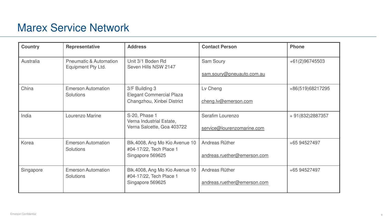<span id="page-7-0"></span>

| <b>Country</b> | <b>Representative</b>                                   | <b>Address</b>                                                | <b>Contact Person</b>       | <b>Phone</b> |
|----------------|---------------------------------------------------------|---------------------------------------------------------------|-----------------------------|--------------|
| Australia      | <b>Pneumatic &amp; Automation</b><br>Equipment Pty Ltd. | Unit 3/1 Boden Rd<br>Seven Hills NSW 2147                     | <b>Sam Soury</b>            | $+61(2)$     |
|                |                                                         |                                                               | sam.soury@pneuauto.com.au   |              |
| China          | <b>Emerson Automation</b>                               | 3/F Building 3                                                | Lv Cheng                    | $+86(51$     |
|                | Solutions                                               | <b>Elegant Commercial Plaza</b><br>Changzhou, Xinbei District | cheng.lv@emerson.com        |              |
| India          | Lourenzo Marine                                         | S-20, Phase 1<br>Verna Industrial Estate,                     | Serafim Lourenzo            | $+91(83)$    |
|                |                                                         | Verna Salcette, Goa 403722                                    | service@lourenzomarine.com  |              |
| Korea          | <b>Emerson Automation</b><br><b>Solutions</b>           | Blk.4008, Ang Mo Kio Avenue 10<br>#04-17/22, Tech Place 1     | Andreas Rüther              | $+6594$      |
|                |                                                         | Singapore 569625                                              | andreas.ruether@emerson.com |              |
| Singapore      | <b>Emerson Automation</b><br><b>Solutions</b>           | Blk.4008, Ang Mo Kio Avenue 10<br>#04-17/22, Tech Place 1     | Andreas Rüther              | $+6594$      |
|                |                                                         | Singapore 569625                                              | andreas.ruether@emerson.com |              |
|                |                                                         |                                                               |                             |              |